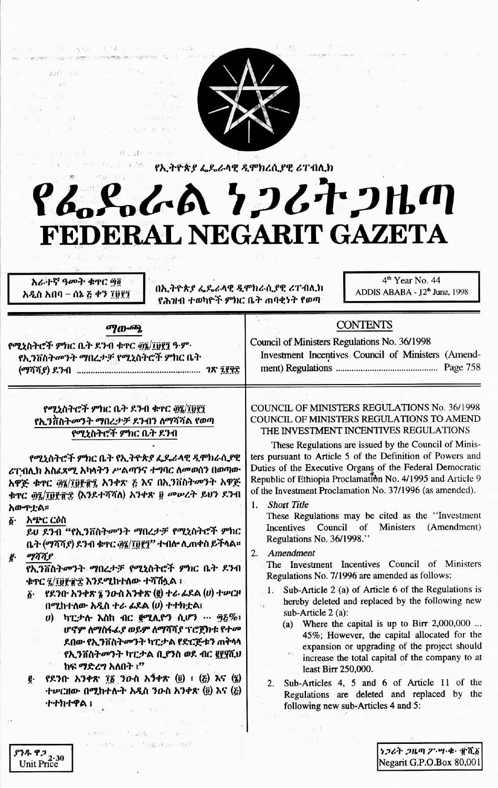

(4) 海西洋 中華 (1) 三、四、



1 - 112 - 1 - 11 - 21 - 11 የኢትዮጵያ ፌዴራሳዊ ዲሞክረሲያዊ ሪፐብሊክ DOC DECIMENTS

# የፌዴራል ነጋሪተጋዜጣ FEDERAL NEGARIT GAZETA

አራተኛ ዓመት ቁዋር ባმ አዲስ አበባ – ሰኔ ፩ ቀን ፲፱፻፺

በኢትዮጵያ ፌዴራላዊ ዲሞክራሲያዊ ሪፐብሊክ የሕዝብ ተወካዮች ምክር ቤት ጠባቂነት የወጣ

4<sup>th</sup> Year No. 44 ADDIS ABABA - 12th June, 1998

| ማውጫ<br>그 집에 가서 이 사람들이 없어요.<br>የሚኒስትሮች ምክር ቤት ደንብ ቁተር ፴፯/፲፱፻፺ ዓ.ም.<br>የኢንቨስትመንት ማበረታቻ የሚኒስትሮች ምክር ቤት | <b>CONTENTS</b><br>Council of Ministers Regulations No. 36/1998<br>Investment Incentives Council of Ministers (Amend-                                                                       |
|-----------------------------------------------------------------------------------------------------|---------------------------------------------------------------------------------------------------------------------------------------------------------------------------------------------|
| የሚኒስትሮች ምክር ቤት ደንብ ቁተር ፴፯/፲፱፻፺<br>የኢንቨስትመንት ማበረታቻ ደንብን ለማሻሻል የወጣ<br>የሚኒስትሮች ምክር ቤት ደንብ              | COUNCIL OF MINISTERS REGULATIONS No. 36/1998<br>COUNCIL OF MINISTERS REGULATIONS TO AMEND<br>THE INVESTMENT INCENTIVES REGULATIONS<br>These Begulations are issued by the Council of Minis- |

የሚኒስትሮች ምክር ቤት የኢትዮጵያ ፌዴራላዊ ዲሞክራሲያዊ ሪፐብሊክ አስፌጻሚ አካላትን ሥልጣንና ተግባር ለመወሰን በወጣው አዋጅ ቁተር ወኗ/፲፱፻፹፯ አንቀጽ ፩ እና በኢንቨስትመንት አዋጅ ቁጥር ወደ/፲፱፻፹፰ (እንደተሻሻለ) አንቀጽ ፱ መሠረት ይህን ደንብ አውጥቲል።

አጭር ርዕስ δ.

ይህ ደንብ "የኢንቨስትመንት ማበረታቻ የሚኒስትሮች ምክር ቤት (ማሻሻያ) ደንብ ቁተር ፴፯/፲፱፻፺" ተብሎ ሊጠቀስ ይችላል። ogaae

የኢንቨስትመንት ማበረታቻ የሚኒስትሮች ምክር ቤት ደንብ ቁተር <u>ፂ/፲፱፻</u>፹፰ እንደሚከተለው ተሻሽሏል ፡

- $\tilde{\bm{\delta}}$ · የደንበ አንቀጽ ፯ ንውስ አንቀጽ (፪) ተራ ፊደል (ሀ) ተሥርዞ በሚከተለው አዲስ ተራ ፊደል (ሀ) ተተክቷል፣
	- υ) ካፒታሉ እስከ ብር gሚሊዮን ሲሆን … ፵፩%፣ ሆኖም ለማስፋፌያ ወይም ለማሻሻያ ፕሮጀክቱ የተመ ደበው የኢንቨስትመንት ካፒታል የድርጅቱን ጠቅላላ የኢንቨስትመንት ካፒታል ቢያንስ ወደ ብር ፪፻፶ሺህ IfC. ከፍ ማድረግ አለበት !"
- የደንበ አንቀጽ ፲፩ ንውስ አንቀጽ (፬) ፣ (ξ) እና (፯) ተሥርዘው በሚከተሉት አዲስ ንውስ አንቀጽ  $(\tilde{g})$  እና  $(\tilde{g})$ ተተክተዋል !

survivism integrity for an alle-- Path The Philade Leaft

These Regulations are issued by the Council of Ministers pursuant to Article 5 of the Definition of Powers and Duties of the Executive Organs of the Federal Democratic Republic of Ethiopia Proclamation No. 4/1995 and Article 9 of the Investment Proclamation No. 37/1996 (as amended).

**Short Title**  $\mathbf{1}$ 

These Regulations may be cited as the "Investment Incentives Council of Ministers (Amendment) Regulations No. 36/1998."

## 2. Amendment

The Investment Incentives Council of Ministers Regulations No. 7/1996 are amended as follows:

- Sub-Article 2 (a) of Article 6 of the Regulations is  $\mathbf{1}$ hereby deleted and replaced by the following new sub-Article 2 (a):
	- (a) Where the capital is up to Birr  $2,000,000$  ... 45%; However, the capital allocated for the expansion or upgrading of the project should increase the total capital of the company to at least Birr 250,000.
- Sub-Articles 4, 5 and 6 of Article 11 of the  $2.$ Regulations are deleted and replaced by the following new sub-Articles 4 and 5:

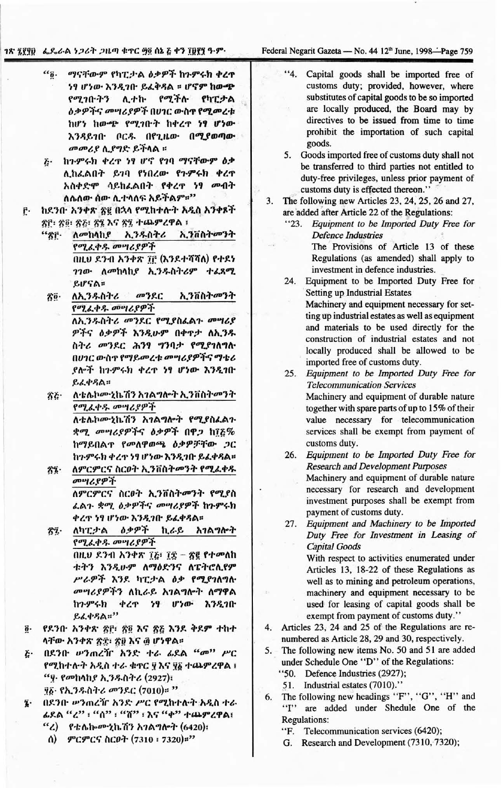### 1ጽ ፯፻፶፱ ፌዴራል ነጋሪት ጋዜጣ ቁጥር ፵፬ ሰኔ ፩ ቀን ፲፱፻፺ ዓ.ም.

Federal Negarit Gazeta - No. 44 12<sup>th</sup> June, 1998-Page 759

- $a_{\tilde{0}}$ . ማናቸውም የካፒታል ዕቃዎች ከጉምሩክ ቀረዋ ነፃ ሆነው እንዲገቡ ይፈቅዳል ፡፡ ሆኖም ከው<del>ጭ</del> የሚገቡትን ሊተኩ የሚችሉ የካፒታል *ስቃዎችና መግሪያዎች በሀገር* ውስ**ተ የሚመ**ረቱ ከሆነ ከውጭ የሚገቡት ከቀረዋ ነፃ ሆነው እንዳይገቡ ቦርዱ በየጊዜው በሚያወጣው መመሪያ ሲያግድ ይችላል ፡፡
- <u>ሯ· ከንምሩክ ቀረዋ ነፃ ሆኖ የ10 ማናቸውም ዕቃ</u> ሊከፈልበት ይገባ የነበረው የጉምሩክ ቀረዋ አስቀድሞ ሳይከፌልበት የቀረዋ ነፃ መብት ለሌለው ሰው ሊተላለፍ አይችልም።"
- ከደንቡ አንቀጽ ጽ፪ በኋላ የሚከተሉት አዲስ አንቀጾች ŕ٠ ጽሮ፡ ጽ፬፡ ጽ፩፡ ጽ፮ እና ጽ፯ ተጨምረዋል ፡
	- "86. *Acrehable* ኢንዱስትሪ ኢንቨስትመንት የሚፈቀዱ መሣሪያዎች በዚህ ደንብ አንቀጽ ፲፫ (እንደተሻሻለ) የተደነ ገገው ለመከላከያ ኢንዱስትሪም ተፈጸሚ ይሆናል።
	- ለኢንዱስትሪ መንደር ኢንቨስትመንት zö. የሚፈቀዱ መሣሪያዎች ለኢንዱስትሪ መንደር የሚያስፌልጉ መሣሪያ

ዎችና ዕቃዎች እንዲሁም በቀዋታ ለኢንዱ ስትሪ መንደር ሕንፃ ግንባታ የሚያገለግሎ በሀገር ውስጥ የማይመረቱ መሣሪያዎችና ማቴሪ ደሎች ከጉምሩክ ቀረዋ ነፃ ሆነው እንዲገቡ ይፈቀዳል።

- ለቴሌኮሙኒኬሽን አገልግሎት ኢንቨስትመንት 答を የሚፈቀዱ መሣሪያዎች ለቴሌኮሙኒኬሽን አገልግሎት የሚያስፈልጉ ቋሚ መሣሪያዎችና ዕቃዎች በዋጋ ከ፲፩% ከማይበልጥ የመለዋወጫ ዕቃዎቻቸው ጋር
- ከጉምሩክ ቀረጥ ነፃ ሆነው እንዲገቡ ይፈቀዳል። ለምርምርና ስርዐት ኢንቨስትመንት የሚፈቀዱ 答え・ መሣሪያዎች ለምርምርና ስርዐት ኢንቨስትመንት የሚያስ

ፈልጉ ቋሚ ዕቃዎችና መሣሪያዎች ከጉምሩክ ቀረዋ ነፃ ሆነው እንዲገቡ ይፈቀዳል።

- ለካፒታል ዕቃዎች ኪራይ አገልግሎት  $\delta\tilde{\mathbf{z}}$ . የሚፈቀዱ መሣሪያዎች በዚህ ደንብ አንቀጽ ፲፭፣ ፲፰ - ጽ፪ የተመለከ ቱትን እንዲሁም ለማዕድንና ለፔትሮሊየም ሥራዎች እንደ ካፒታል ዕቃ የሚያገለግሉ *መግሪያዎችን* ለኪራይ አገልግሎት ለማዋል ቀረዋ ነፃ ሆነው እንዲገበ ከንዏሩክ ይፈቀዳል።"
- $\overline{\mathbf{0}}$ . የደንቡ አንቀጽ ፳፫፡ ፳፬ እና ፳፩ እንደ ቅደም ተከተ ላቸው አንቀጽ ጽ፰፡ ጽ፱ እና ፴ ሆነዋል፡፡
- በደንቡ ሥንጠረዥ አንድ ተራ ፊደል "መ" ሥር  $\ddot{c}$ የሚከተሉት አዲስ ተራ ቁተር ፶እና ፶፩ ተጨምረዋል ፣ <u>"ዋ የመከላከያ ኢንዱስትሪ (2927)</u>: ፶፩· የኢንዱስትሪ መንደር (7010)። "
- በደንቡ ሥንጠረዥ አንድ ሥር የሚከተሉት አዲስ ተራ ī. ፊደል "ረ" ፣ "ሰ" ፣ "ሸ" ፣ እና "ቀ" ተጨምረዋል፣
	- "ረ) የቴሌኰሙኒኬሽን አገልግሎት (6420)፣ ሰ) ምርምርና ስርዐት (7310 ፡ 7320)።"
- $4.4$ Capital goods shall be imported free of customs duty; provided, however, where substitutes of capital goods to be so imported are locally produced, the Board may by directives to be issued from time to time prohibit the importation of such capital goods.
- 5. Goods imported free of customs duty shall not be transferred to third parties not entitled to duty-free privileges, unless prior payment of customs duty is effected thereon."
- 3. The following new Articles 23, 24, 25, 26 and 27, are added after Article 22 of the Regulations:
	- "23. Equipment to be Imported Duty Free for **Defence Industries** The Provisions of Article 13 of these Regulations (as amended) shall apply to investment in defence industries.
	- 24. Equipment to be Imported Duty Free for **Setting up Industrial Estates** 
		- Machinery and equipment necessary for setting up industrial estates as well as equipment and materials to be used directly for the construction of industrial estates and not locally produced shall be allowed to be imported free of customs duty.
	- $25.$ Equipment to be Imported Duty Free for **Telecommunication Services** Machinery and equipment of durable nature together with spare parts of up to 15% of their value necessary for telecommunication services shall be exempt from payment of customs duty.
	- 26. Equipment to be Imported Duty Free for **Research and Development Purposes** Machinery and equipment of durable nature necessary for research and development investment purposes shall be exempt from payment of customs duty.

Equipment and Machinery to be Imported 27. Duty Free for Investment in Leasing of **Capital Goods** With respect to activities enumerated under Articles 13, 18-22 of these Regulations as well as to mining and petroleum operations, machinery and equipment necessary to be used for leasing of capital goods shall be exempt from payment of customs duty."

- Articles 23, 24 and 25 of the Regulations are re-4. numbered as Article 28, 29 and 30, respectively.
- The following new items No. 50 and 51 are added 5. under Schedule One "D" of the Regulations:
	- "50. Defence Industries (2927);
	- 51. Industrial estates (7010)."
- The following new headings "F", "G", "H" and 6. "I" are added under Shedule One of the **Regulations:** 
	- "F. Telecommunication services (6420);
	- G. Research and Development (7310, 7320);